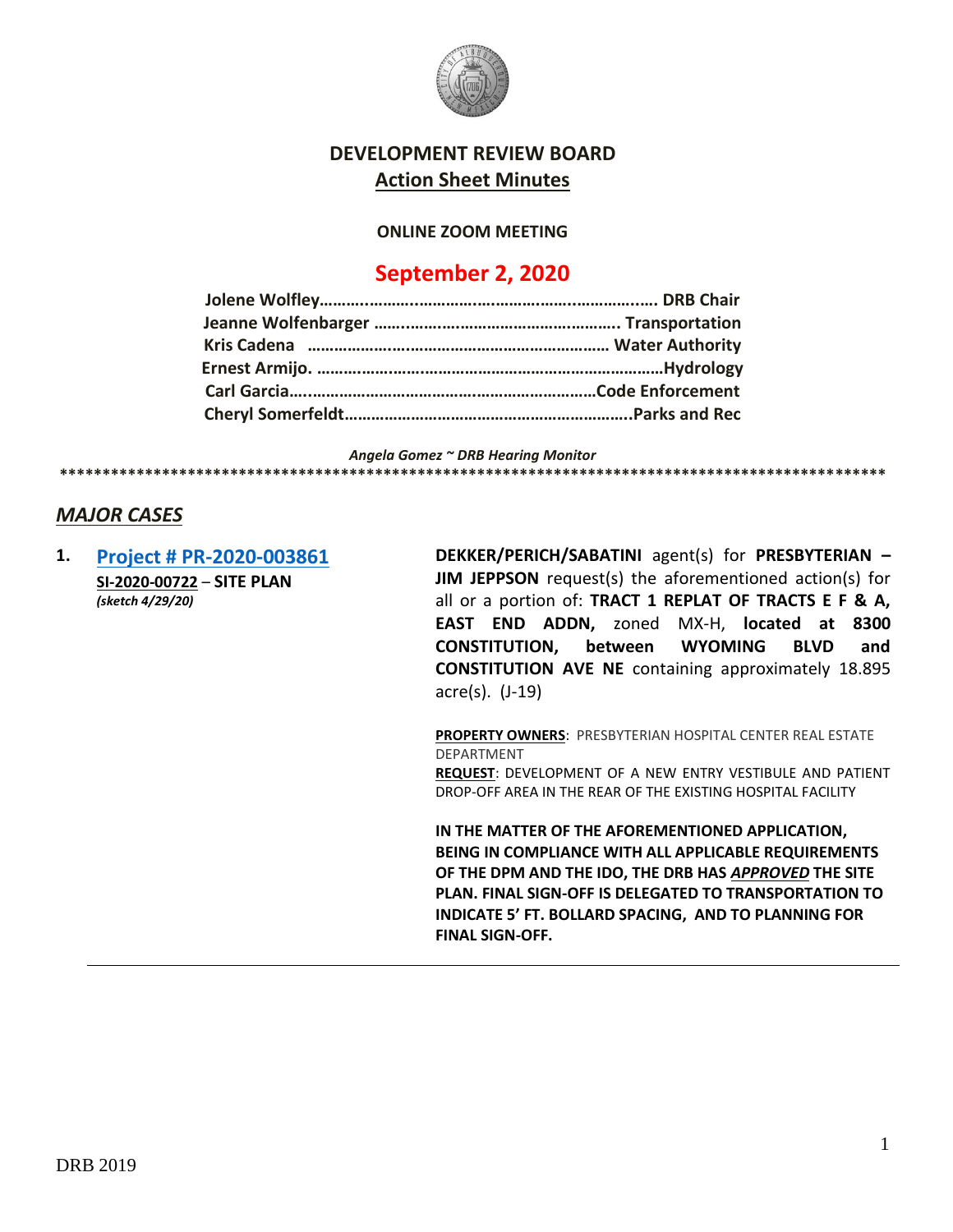

### **DEVELOPMENT REVIEW BOARD Action Sheet Minutes**

#### **ONLINE ZOOM MEETING**

## **September 2, 2020**

*Angela Gomez ~ DRB Hearing Monitor*

#### *MAJOR CASES*

**1. [Project # PR-2020-003861](http://data.cabq.gov/government/planning/DRB/PR-2020-003861/DRB%20Submittals/PR-2020-003861_Sep_02_2020/Application/) SI-2020-00722** – **SITE PLAN** *(sketch 4/29/20)*

**DEKKER/PERICH/SABATINI** agent(s) for **PRESBYTERIAN – JIM JEPPSON** request(s) the aforementioned action(s) for all or a portion of: **TRACT 1 REPLAT OF TRACTS E F & A, EAST END ADDN,** zoned MX-H, **located at 8300 CONSTITUTION, between WYOMING BLVD and CONSTITUTION AVE NE** containing approximately 18.895 acre(s). (J-19)

**\*\*\*\*\*\*\*\*\*\*\*\*\*\*\*\*\*\*\*\*\*\*\*\*\*\*\*\*\*\*\*\*\*\*\*\*\*\*\*\*\*\*\*\*\*\*\*\*\*\*\*\*\*\*\*\*\*\*\*\*\*\*\*\*\*\*\*\*\*\*\*\*\*\*\*\*\*\*\*\*\*\*\*\*\*\*\*\*\*\*\*\*\*\*\*\*\***

**PROPERTY OWNERS**: PRESBYTERIAN HOSPITAL CENTER REAL ESTATE DEPARTMENT **REQUEST**: DEVELOPMENT OF A NEW ENTRY VESTIBULE AND PATIENT DROP-OFF AREA IN THE REAR OF THE EXISTING HOSPITAL FACILITY

**IN THE MATTER OF THE AFOREMENTIONED APPLICATION, BEING IN COMPLIANCE WITH ALL APPLICABLE REQUIREMENTS OF THE DPM AND THE IDO, THE DRB HAS** *APPROVED* **THE SITE PLAN. FINAL SIGN-OFF IS DELEGATED TO TRANSPORTATION TO INDICATE 5' FT. BOLLARD SPACING, AND TO PLANNING FOR FINAL SIGN-OFF.**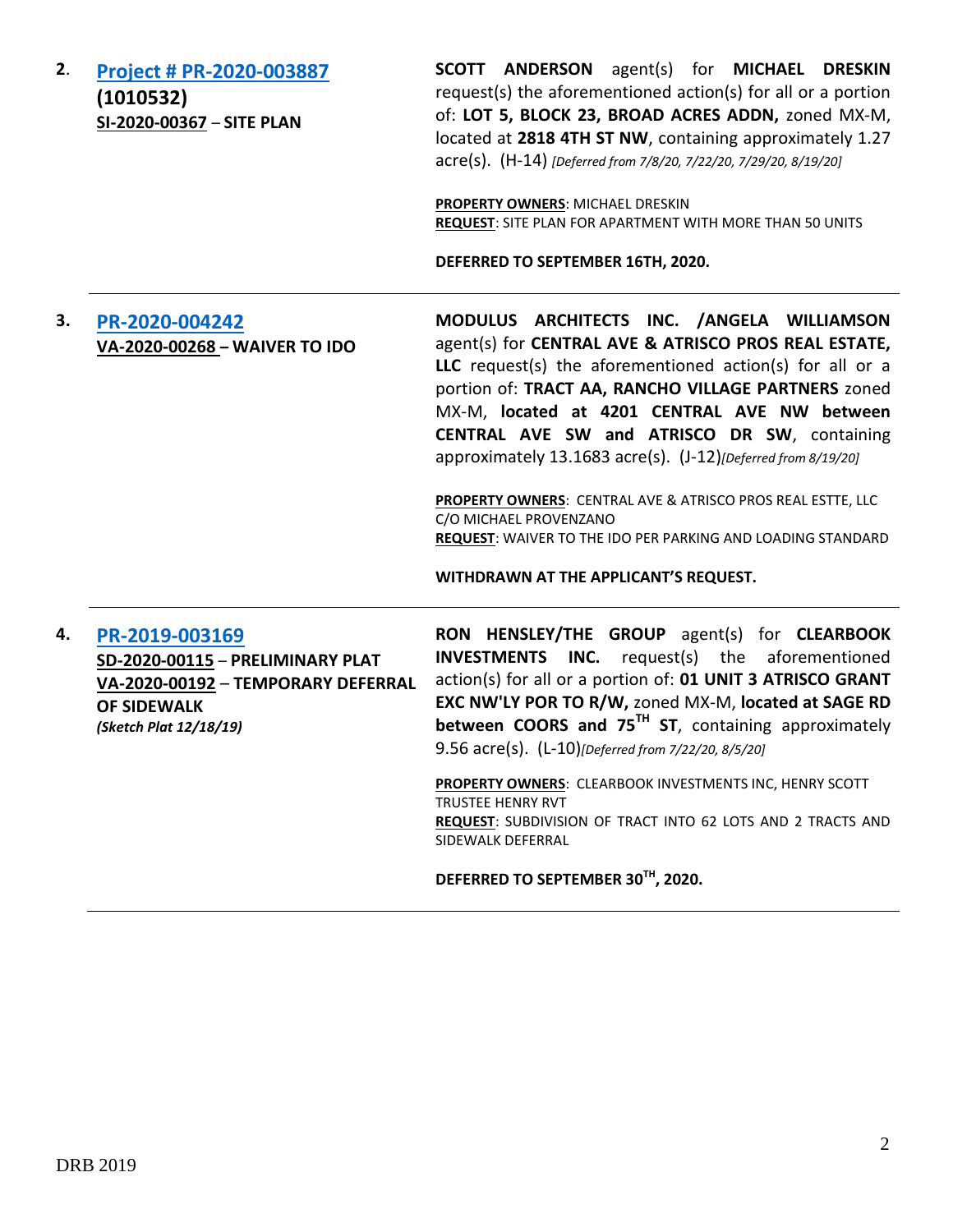| 2. | Project # PR-2020-003887<br>(1010532)<br>SI-2020-00367 - SITE PLAN                                                                       | SCOTT ANDERSON agent(s) for MICHAEL DRESKIN<br>request(s) the aforementioned action(s) for all or a portion<br>of: LOT 5, BLOCK 23, BROAD ACRES ADDN, zoned MX-M,<br>located at 2818 4TH ST NW, containing approximately 1.27<br>acre(s). (H-14) [Deferred from 7/8/20, 7/22/20, 7/29/20, 8/19/20]<br>PROPERTY OWNERS: MICHAEL DRESKIN<br><b>REQUEST:</b> SITE PLAN FOR APARTMENT WITH MORE THAN 50 UNITS<br>DEFERRED TO SEPTEMBER 16TH, 2020.                                                                                                                                                |  |
|----|------------------------------------------------------------------------------------------------------------------------------------------|-----------------------------------------------------------------------------------------------------------------------------------------------------------------------------------------------------------------------------------------------------------------------------------------------------------------------------------------------------------------------------------------------------------------------------------------------------------------------------------------------------------------------------------------------------------------------------------------------|--|
| 3. | PR-2020-004242<br>VA-2020-00268 - WAIVER TO IDO                                                                                          | MODULUS ARCHITECTS INC. /ANGELA WILLIAMSON<br>agent(s) for CENTRAL AVE & ATRISCO PROS REAL ESTATE,<br>LLC request(s) the aforementioned action(s) for all or a<br>portion of: TRACT AA, RANCHO VILLAGE PARTNERS zoned<br>MX-M, located at 4201 CENTRAL AVE NW between<br>CENTRAL AVE SW and ATRISCO DR SW, containing<br>approximately 13.1683 acre(s). (J-12)[Deferred from 8/19/20]<br>PROPERTY OWNERS: CENTRAL AVE & ATRISCO PROS REAL ESTTE, LLC<br>C/O MICHAEL PROVENZANO<br><b>REQUEST:</b> WAIVER TO THE IDO PER PARKING AND LOADING STANDARD<br>WITHDRAWN AT THE APPLICANT'S REQUEST. |  |
| 4. | PR-2019-003169<br>SD-2020-00115 - PRELIMINARY PLAT<br>VA-2020-00192 - TEMPORARY DEFERRAL<br><b>OF SIDEWALK</b><br>(Sketch Plat 12/18/19) | RON HENSLEY/THE GROUP agent(s) for CLEARBOOK<br>INC.<br>request(s) the aforementioned<br><b>INVESTMENTS</b><br>action(s) for all or a portion of: 01 UNIT 3 ATRISCO GRANT<br>EXC NW'LY POR TO R/W, zoned MX-M, located at SAGE RD<br>between COORS and $75^{TH}$ ST, containing approximately<br>9.56 acre(s). (L-10)[Deferred from 7/22/20, 8/5/20]<br>PROPERTY OWNERS: CLEARBOOK INVESTMENTS INC, HENRY SCOTT<br><b>TRUSTEE HENRY RVT</b><br>REQUEST: SUBDIVISION OF TRACT INTO 62 LOTS AND 2 TRACTS AND<br><b>SIDEWALK DEFERRAL</b>                                                        |  |

# **DEFERRED TO SEPTEMBER 30TH, 2020.**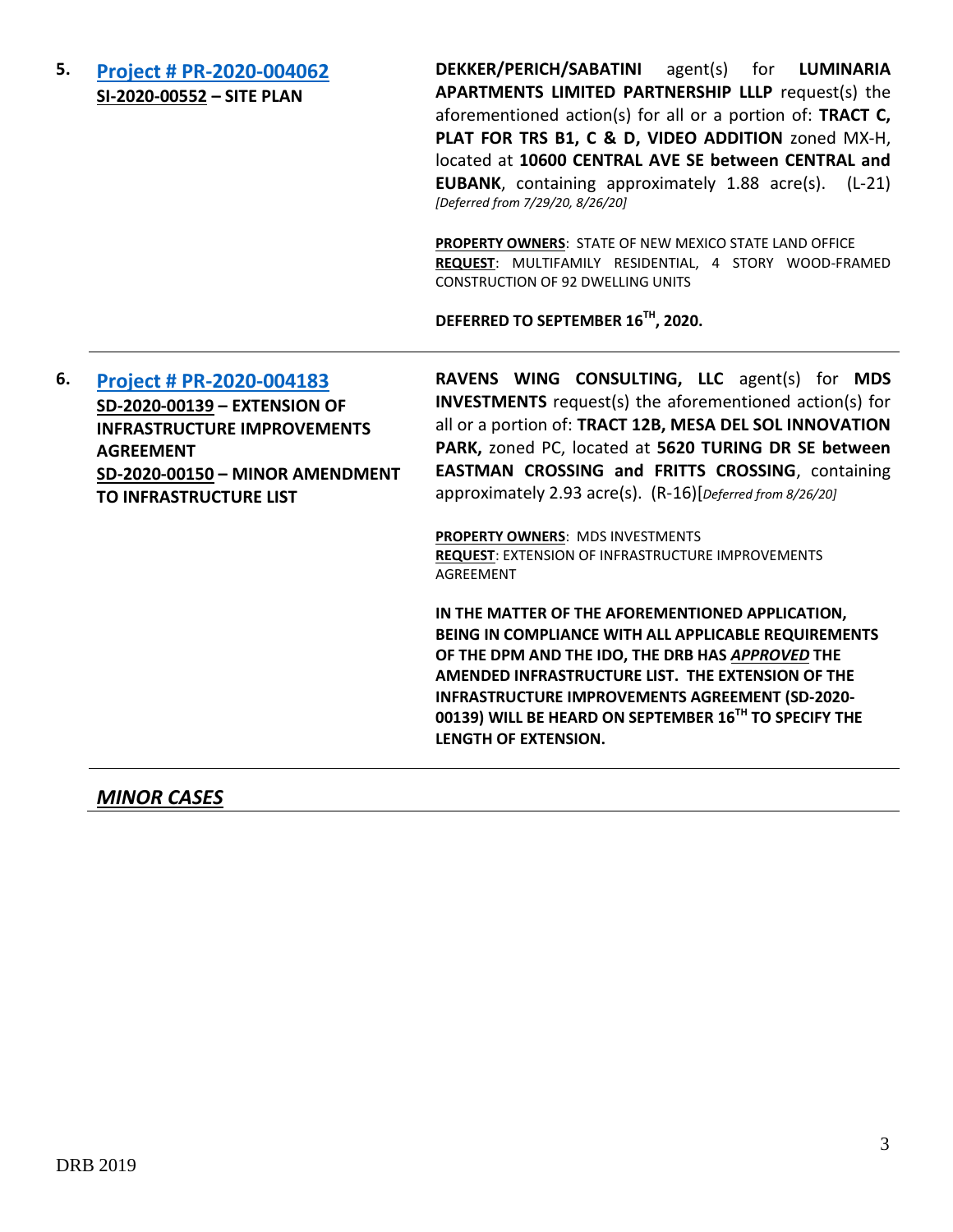**5. [Project # PR-2020-004062](http://data.cabq.gov/government/planning/DRB/PR-2020-004062/DRB%20Submittals/PR-2020-004062_Jul_29_2020/Application/DRB%20SP-DRB%20DPS%20PR-2020-004062%20SI-2020-00552%20not%20signed.pdf) SI-2020-00552 – SITE PLAN**

**DEKKER/PERICH/SABATINI** agent(s) for **LUMINARIA APARTMENTS LIMITED PARTNERSHIP LLLP** request(s) the aforementioned action(s) for all or a portion of: **TRACT C, PLAT FOR TRS B1, C & D, VIDEO ADDITION** zoned MX-H, located at **10600 CENTRAL AVE SE between CENTRAL and EUBANK**, containing approximately 1.88 acre(s). (L-21) *[Deferred from 7/29/20, 8/26/20]*

**PROPERTY OWNERS**: STATE OF NEW MEXICO STATE LAND OFFICE **REQUEST**: MULTIFAMILY RESIDENTIAL, 4 STORY WOOD-FRAMED CONSTRUCTION OF 92 DWELLING UNITS

**DEFERRED TO SEPTEMBER 16TH, 2020.**

**6. [Project # PR-2020-004183](http://data.cabq.gov/government/planning/DRB/PR-2020-004183/DRB%20Submittals/PR-2020-004183_Aug_26_2020/Application/DRB%20IIA%20RAVENS%20WING%20%20PR-2020-004183%20SD-2020-00139%20signed%20copy.pdf) SD-2020-00139 – EXTENSION OF INFRASTRUCTURE IMPROVEMENTS AGREEMENT SD-2020-00150 – MINOR AMENDMENT TO INFRASTRUCTURE LIST**

**RAVENS WING CONSULTING, LLC** agent(s) for **MDS INVESTMENTS** request(s) the aforementioned action(s) for all or a portion of: **TRACT 12B, MESA DEL SOL INNOVATION PARK,** zoned PC, located at **5620 TURING DR SE between EASTMAN CROSSING and FRITTS CROSSING**, containing approximately 2.93 acre(s). (R-16)[*Deferred from 8/26/20]*

**PROPERTY OWNERS**: MDS INVESTMENTS **REQUEST**: EXTENSION OF INFRASTRUCTURE IMPROVEMENTS AGREEMENT

**IN THE MATTER OF THE AFOREMENTIONED APPLICATION, BEING IN COMPLIANCE WITH ALL APPLICABLE REQUIREMENTS OF THE DPM AND THE IDO, THE DRB HAS** *APPROVED* **THE AMENDED INFRASTRUCTURE LIST. THE EXTENSION OF THE INFRASTRUCTURE IMPROVEMENTS AGREEMENT (SD-2020- 00139) WILL BE HEARD ON SEPTEMBER 16TH TO SPECIFY THE LENGTH OF EXTENSION.**

*MINOR CASES*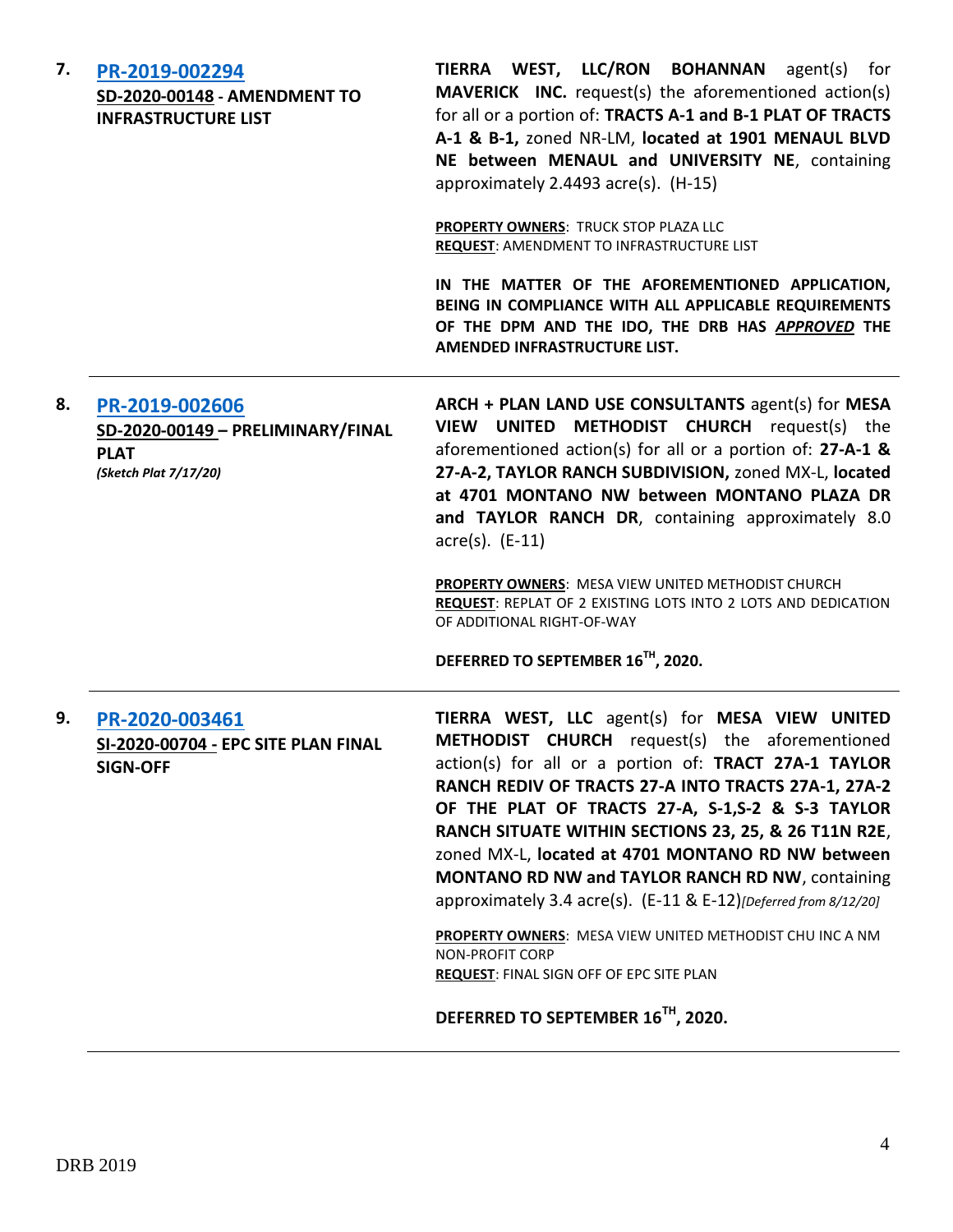| 7. | PR-2019-002294<br>SD-2020-00148 - AMENDMENT TO<br><b>INFRASTRUCTURE LIST</b>                | TIERRA WEST, LLC/RON BOHANNAN agent(s) for<br><b>MAVERICK INC.</b> request(s) the aforementioned action(s)<br>for all or a portion of: TRACTS A-1 and B-1 PLAT OF TRACTS<br>A-1 & B-1, zoned NR-LM, located at 1901 MENAUL BLVD<br>NE between MENAUL and UNIVERSITY NE, containing<br>approximately 2.4493 acre(s). (H-15)<br>PROPERTY OWNERS: TRUCK STOP PLAZA LLC<br>REQUEST: AMENDMENT TO INFRASTRUCTURE LIST<br>IN THE MATTER OF THE AFOREMENTIONED APPLICATION,<br>BEING IN COMPLIANCE WITH ALL APPLICABLE REQUIREMENTS<br>OF THE DPM AND THE IDO, THE DRB HAS APPROVED THE<br>AMENDED INFRASTRUCTURE LIST.                                                                                                  |
|----|---------------------------------------------------------------------------------------------|-------------------------------------------------------------------------------------------------------------------------------------------------------------------------------------------------------------------------------------------------------------------------------------------------------------------------------------------------------------------------------------------------------------------------------------------------------------------------------------------------------------------------------------------------------------------------------------------------------------------------------------------------------------------------------------------------------------------|
| 8. | PR-2019-002606<br>SD-2020-00149 - PRELIMINARY/FINAL<br><b>PLAT</b><br>(Sketch Plat 7/17/20) | ARCH + PLAN LAND USE CONSULTANTS agent(s) for MESA<br>VIEW UNITED METHODIST CHURCH request(s) the<br>aforementioned action(s) for all or a portion of: 27-A-1 &<br>27-A-2, TAYLOR RANCH SUBDIVISION, zoned MX-L, located<br>at 4701 MONTANO NW between MONTANO PLAZA DR<br>and TAYLOR RANCH DR, containing approximately 8.0<br>$\arccos(5)$ . (E-11)<br>PROPERTY OWNERS: MESA VIEW UNITED METHODIST CHURCH<br><b>REQUEST:</b> REPLAT OF 2 EXISTING LOTS INTO 2 LOTS AND DEDICATION<br>OF ADDITIONAL RIGHT-OF-WAY<br>DEFERRED TO SEPTEMBER 16 <sup>TH</sup> , 2020.                                                                                                                                               |
| 9. | PR-2020-003461<br>SI-2020-00704 - EPC SITE PLAN FINAL<br><b>SIGN-OFF</b>                    | TIERRA WEST, LLC agent(s) for MESA VIEW UNITED<br><b>METHODIST CHURCH</b> request(s) the aforementioned<br>action(s) for all or a portion of: TRACT 27A-1 TAYLOR<br>RANCH REDIV OF TRACTS 27-A INTO TRACTS 27A-1, 27A-2<br>OF THE PLAT OF TRACTS 27-A, S-1,S-2 & S-3 TAYLOR<br>RANCH SITUATE WITHIN SECTIONS 23, 25, & 26 T11N R2E,<br>zoned MX-L, located at 4701 MONTANO RD NW between<br><b>MONTANO RD NW and TAYLOR RANCH RD NW, containing</b><br>approximately 3.4 acre(s). (E-11 & E-12)[Deferred from 8/12/20]<br>PROPERTY OWNERS: MESA VIEW UNITED METHODIST CHU INC A NM<br><b>NON-PROFIT CORP</b><br><b>REQUEST: FINAL SIGN OFF OF EPC SITE PLAN</b><br>DEFERRED TO SEPTEMBER 16 <sup>TH</sup> , 2020. |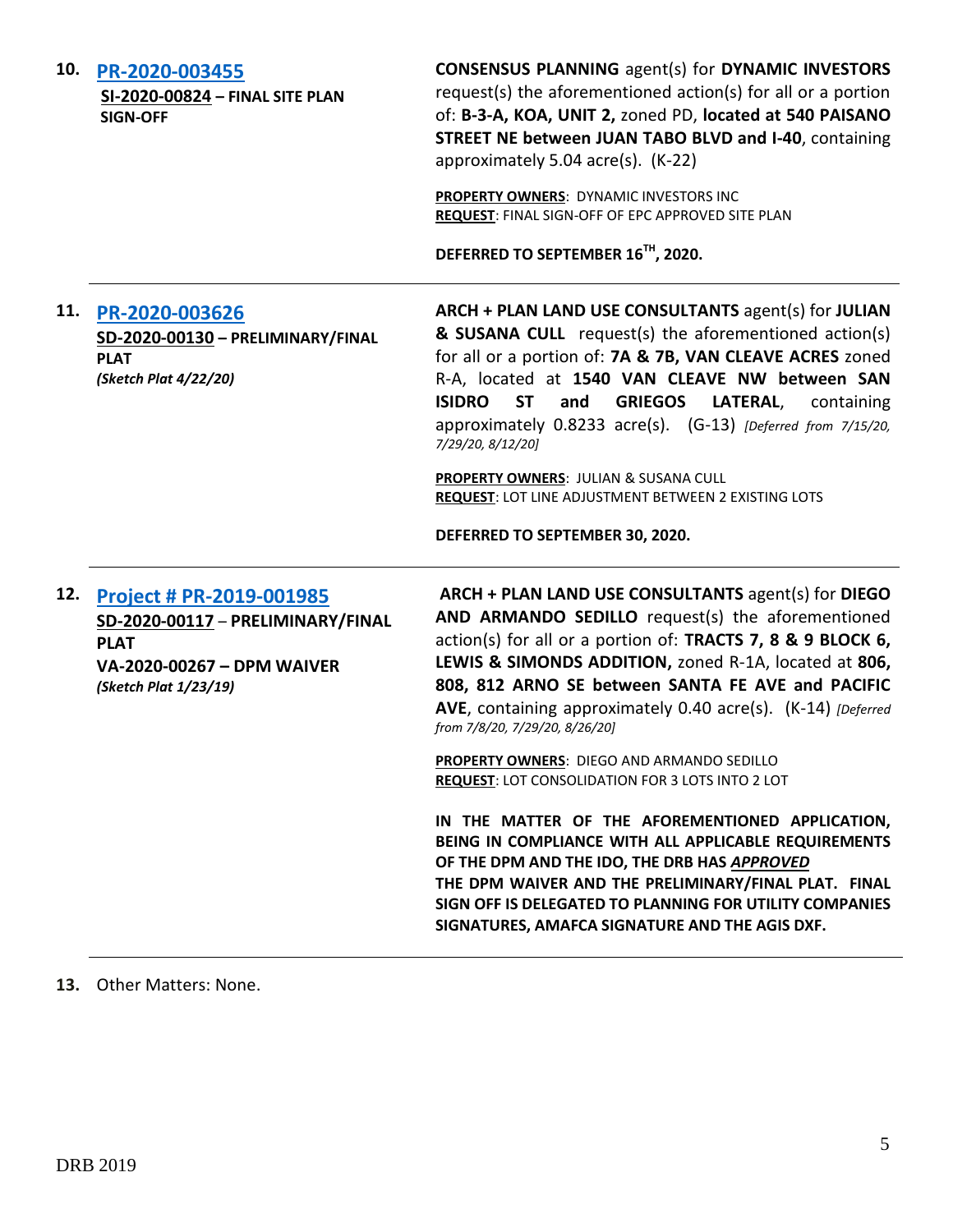| 10. |  |  | PR-2020-003455 |  |
|-----|--|--|----------------|--|
|-----|--|--|----------------|--|

**SI-2020-00824 – FINAL SITE PLAN SIGN-OFF**

**CONSENSUS PLANNING** agent(s) for **DYNAMIC INVESTORS** request(s) the aforementioned action(s) for all or a portion of: **B-3-A, KOA, UNIT 2,** zoned PD, **located at 540 PAISANO STREET NE between JUAN TABO BLVD and I-40**, containing approximately 5.04 acre(s). (K-22)

**PROPERTY OWNERS**: DYNAMIC INVESTORS INC **REQUEST**: FINAL SIGN-OFF OF EPC APPROVED SITE PLAN

**DEFERRED TO SEPTEMBER 16TH, 2020.**

**11. [PR-2020-003626](http://data.cabq.gov/government/planning/DRB/PR-2020-003626/DRB%20Submittals/PR-2020-003626_July_15_2020/Application/PR%202020-003626%20PRELIM%20FINAL%20PLAT.pdf) SD-2020-00130 – PRELIMINARY/FINAL PLAT** *(Sketch Plat 4/22/20)* **ARCH + PLAN LAND USE CONSULTANTS** agent(s) for **JULIAN & SUSANA CULL** request(s) the aforementioned action(s) for all or a portion of: **7A & 7B, VAN CLEAVE ACRES** zoned R-A, located at **1540 VAN CLEAVE NW between SAN ISIDRO ST and GRIEGOS LATERAL**, containing approximately 0.8233 acre(s). (G-13) *[Deferred from 7/15/20, 7/29/20, 8/12/20]* **PROPERTY OWNERS**: JULIAN & SUSANA CULL **REQUEST**: LOT LINE ADJUSTMENT BETWEEN 2 EXISTING LOTS **DEFERRED TO SEPTEMBER 30, 2020. 12. [Project # PR-2019-001985](http://data.cabq.gov/government/planning/DRB/PR-2019-001985/DRB%20Submittals/PR-2019-001985_Jul_08_2020/Application/DRB%20P&F%20Arch%20Plan%20PR-2020-001985%20signed%20copy.pdf) SD-2020-00117** – **PRELIMINARY/FINAL PLAT VA-2020-00267 – DPM WAIVER** *(Sketch Plat 1/23/19)* **ARCH + PLAN LAND USE CONSULTANTS** agent(s) for **DIEGO AND ARMANDO SEDILLO** request(s) the aforementioned action(s) for all or a portion of: **TRACTS 7, 8 & 9 BLOCK 6, LEWIS & SIMONDS ADDITION,** zoned R-1A, located at **806, 808, 812 ARNO SE between SANTA FE AVE and PACIFIC AVE**, containing approximately 0.40 acre(s). (K-14) *[Deferred from 7/8/20, 7/29/20, 8/26/20]* **PROPERTY OWNERS**: DIEGO AND ARMANDO SEDILLO **REQUEST**: LOT CONSOLIDATION FOR 3 LOTS INTO 2 LOT **IN THE MATTER OF THE AFOREMENTIONED APPLICATION, BEING IN COMPLIANCE WITH ALL APPLICABLE REQUIREMENTS OF THE DPM AND THE IDO, THE DRB HAS** *APPROVED* **THE DPM WAIVER AND THE PRELIMINARY/FINAL PLAT. FINAL SIGN OFF IS DELEGATED TO PLANNING FOR UTILITY COMPANIES SIGNATURES, AMAFCA SIGNATURE AND THE AGIS DXF.**

**13.** Other Matters: None.